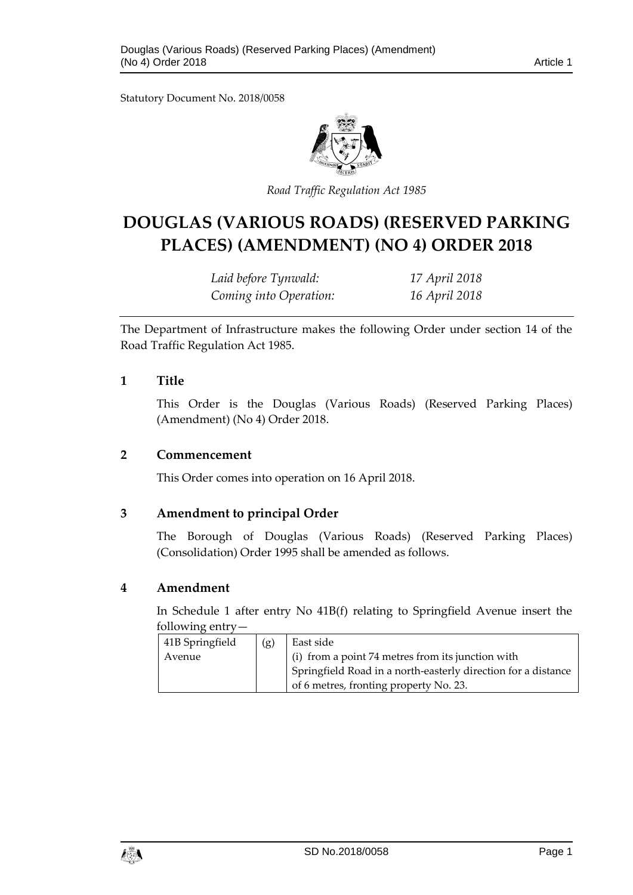Statutory Document No. 2018/0058



*Road Traffic Regulation Act 1985*

# **DOUGLAS (VARIOUS ROADS) (RESERVED PARKING PLACES) (AMENDMENT) (NO 4) ORDER 2018**

*Laid before Tynwald: 17 April 2018 Coming into Operation: 16 April 2018*

The Department of Infrastructure makes the following Order under section 14 of the Road Traffic Regulation Act 1985.

#### **1 Title**

This Order is the Douglas (Various Roads) (Reserved Parking Places) (Amendment) (No 4) Order 2018.

#### **2 Commencement**

This Order comes into operation on 16 April 2018.

#### **3 Amendment to principal Order**

The Borough of Douglas (Various Roads) (Reserved Parking Places) (Consolidation) Order 1995 shall be amended as follows.

#### **4 Amendment**

In Schedule 1 after entry No 41B(f) relating to Springfield Avenue insert the following entry—

| 41B Springfield | (g) | East side                                                     |
|-----------------|-----|---------------------------------------------------------------|
| Avenue          |     | (i) from a point 74 metres from its junction with             |
|                 |     | Springfield Road in a north-easterly direction for a distance |
|                 |     | of 6 metres, fronting property No. 23.                        |

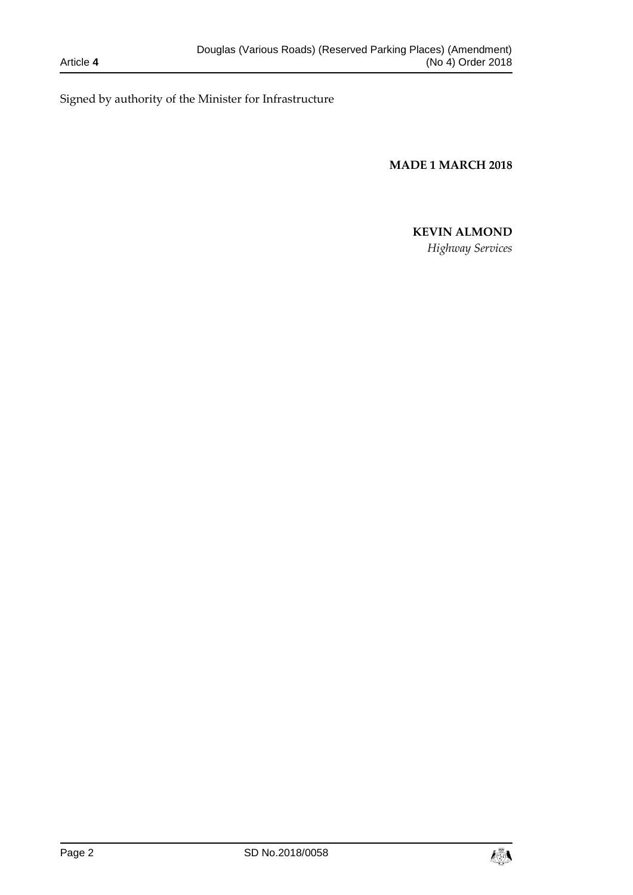Signed by authority of the Minister for Infrastructure

**MADE 1 MARCH 2018**

## **KEVIN ALMOND**

*Highway Services*